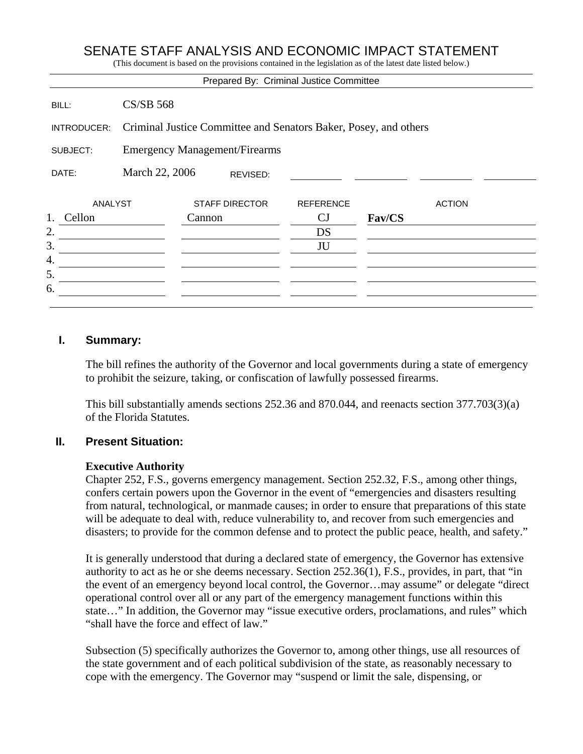## SENATE STAFF ANALYSIS AND ECONOMIC IMPACT STATEMENT

(This document is based on the provisions contained in the legislation as of the latest date listed below.)

|                |                                                                  |                       |  | Prepared By: Criminal Justice Committee |        |               |
|----------------|------------------------------------------------------------------|-----------------------|--|-----------------------------------------|--------|---------------|
| BILL:          | <b>CS/SB 568</b>                                                 |                       |  |                                         |        |               |
| INTRODUCER:    | Criminal Justice Committee and Senators Baker, Posey, and others |                       |  |                                         |        |               |
| SUBJECT:       | <b>Emergency Management/Firearms</b>                             |                       |  |                                         |        |               |
| DATE:          | March 22, 2006<br>REVISED:                                       |                       |  |                                         |        |               |
| <b>ANALYST</b> |                                                                  | <b>STAFF DIRECTOR</b> |  | <b>REFERENCE</b>                        |        | <b>ACTION</b> |
| 1.<br>Cellon   |                                                                  | Cannon                |  | CJ                                      | Fav/CS |               |
| 2.             |                                                                  |                       |  | DS                                      |        |               |
| 3.             |                                                                  |                       |  | JU                                      |        |               |
| 4.             |                                                                  |                       |  |                                         |        |               |
| 5.             |                                                                  |                       |  |                                         |        |               |
| 6.             |                                                                  |                       |  |                                         |        |               |
|                |                                                                  |                       |  |                                         |        |               |

#### **I. Summary:**

The bill refines the authority of the Governor and local governments during a state of emergency to prohibit the seizure, taking, or confiscation of lawfully possessed firearms.

This bill substantially amends sections 252.36 and 870.044, and reenacts section 377.703(3)(a) of the Florida Statutes.

#### **II. Present Situation:**

#### **Executive Authority**

Chapter 252, F.S., governs emergency management. Section 252.32, F.S., among other things, confers certain powers upon the Governor in the event of "emergencies and disasters resulting from natural, technological, or manmade causes; in order to ensure that preparations of this state will be adequate to deal with, reduce vulnerability to, and recover from such emergencies and disasters; to provide for the common defense and to protect the public peace, health, and safety."

It is generally understood that during a declared state of emergency, the Governor has extensive authority to act as he or she deems necessary. Section 252.36(1), F.S., provides, in part, that "in the event of an emergency beyond local control, the Governor…may assume" or delegate "direct operational control over all or any part of the emergency management functions within this state…" In addition, the Governor may "issue executive orders, proclamations, and rules" which "shall have the force and effect of law."

Subsection (5) specifically authorizes the Governor to, among other things, use all resources of the state government and of each political subdivision of the state, as reasonably necessary to cope with the emergency. The Governor may "suspend or limit the sale, dispensing, or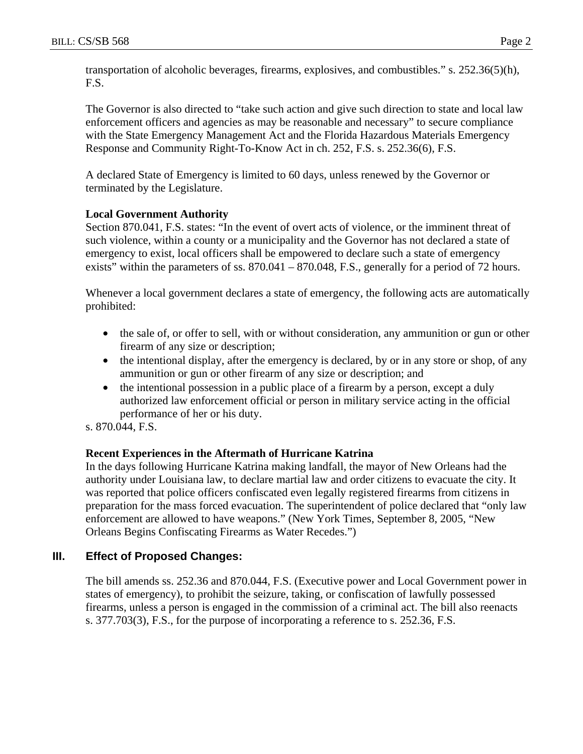transportation of alcoholic beverages, firearms, explosives, and combustibles." s. 252.36(5)(h), F.S.

The Governor is also directed to "take such action and give such direction to state and local law enforcement officers and agencies as may be reasonable and necessary" to secure compliance with the State Emergency Management Act and the Florida Hazardous Materials Emergency Response and Community Right-To-Know Act in ch. 252, F.S. s. 252.36(6), F.S.

A declared State of Emergency is limited to 60 days, unless renewed by the Governor or terminated by the Legislature.

#### **Local Government Authority**

Section 870.041, F.S. states: "In the event of overt acts of violence, or the imminent threat of such violence, within a county or a municipality and the Governor has not declared a state of emergency to exist, local officers shall be empowered to declare such a state of emergency exists" within the parameters of ss. 870.041 – 870.048, F.S., generally for a period of 72 hours.

Whenever a local government declares a state of emergency, the following acts are automatically prohibited:

- the sale of, or offer to sell, with or without consideration, any ammunition or gun or other firearm of any size or description;
- the intentional display, after the emergency is declared, by or in any store or shop, of any ammunition or gun or other firearm of any size or description; and
- the intentional possession in a public place of a firearm by a person, except a duly authorized law enforcement official or person in military service acting in the official performance of her or his duty.

s. 870.044, F.S.

## **Recent Experiences in the Aftermath of Hurricane Katrina**

In the days following Hurricane Katrina making landfall, the mayor of New Orleans had the authority under Louisiana law, to declare martial law and order citizens to evacuate the city. It was reported that police officers confiscated even legally registered firearms from citizens in preparation for the mass forced evacuation. The superintendent of police declared that "only law enforcement are allowed to have weapons." (New York Times, September 8, 2005, "New Orleans Begins Confiscating Firearms as Water Recedes.")

## **III. Effect of Proposed Changes:**

The bill amends ss. 252.36 and 870.044, F.S. (Executive power and Local Government power in states of emergency), to prohibit the seizure, taking, or confiscation of lawfully possessed firearms, unless a person is engaged in the commission of a criminal act. The bill also reenacts s. 377.703(3), F.S., for the purpose of incorporating a reference to s. 252.36, F.S.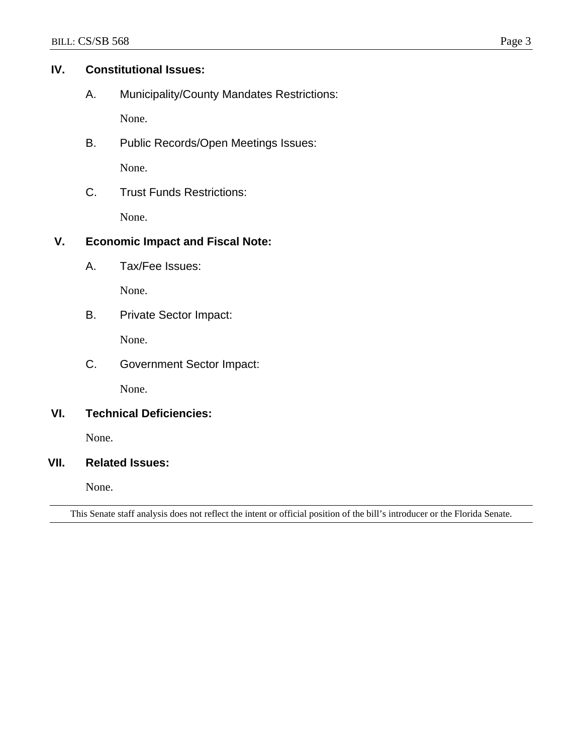#### **IV. Constitutional Issues:**

A. Municipality/County Mandates Restrictions:

None.

B. Public Records/Open Meetings Issues:

None.

C. Trust Funds Restrictions:

None.

# **V. Economic Impact and Fiscal Note:**

A. Tax/Fee Issues:

None.

B. Private Sector Impact:

None.

C. Government Sector Impact:

None.

## **VI. Technical Deficiencies:**

None.

#### **VII. Related Issues:**

None.

This Senate staff analysis does not reflect the intent or official position of the bill's introducer or the Florida Senate.